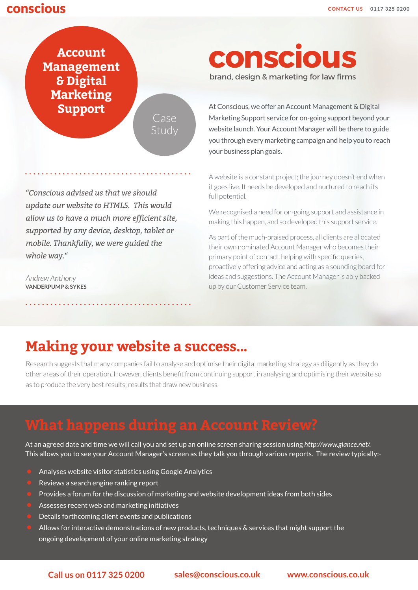### **CONSCIOUS CONTACT US** 0117 325 0200

**Account Management & Digital Marketing** 

Case Study

*"Conscious advised us that we should update our website to HTML5. This would allow us to have a much more efficient site, supported by any device, desktop, tablet or mobile. Thankfully, we were guided the whole way."*

*Andrew Anthony*  **VANDERPUMP & SYKES**

# **conscious**

brand, design & marketing for law firms

**Support** At Conscious, we offer an Account Management & Digital Marketing Support service for on-going support beyond your website launch. Your Account Manager will be there to guide you through every marketing campaign and help you to reach your business plan goals.

A website is a constant project; the journey doesn't end when it goes live. It needs be developed and nurtured to reach its full potential.

We recognised a need for on-going support and assistance in making this happen, and so developed this support service.

As part of the much-praised process, all clients are allocated their own nominated Account Manager who becomes their primary point of contact, helping with specific queries, proactively offering advice and acting as a sounding board for ideas and suggestions. The Account Manager is ably backed up by our Customer Service team.

## **Making your website a success…**

Research suggests that many companies fail to analyse and optimise their digital marketing strategy as diligently as they do other areas of their operation. However, clients benefit from continuing support in analysing and optimising their website so as to produce the very best results; results that draw new business.

At an agreed date and time we will call you and set up an online screen sharing session using *http://www.glance.net/.* This allows you to see your Account Manager's screen as they talk you through various reports. The review typically:-

- Analyses website visitor statistics using Google Analytics
- Reviews a search engine ranking report
- Provides a forum for the discussion of marketing and website development ideas from both sides
- Assesses recent web and marketing initiatives
- Details forthcoming client events and publications
- Allows for interactive demonstrations of new products, techniques & services that might support the ongoing development of your online marketing strategy